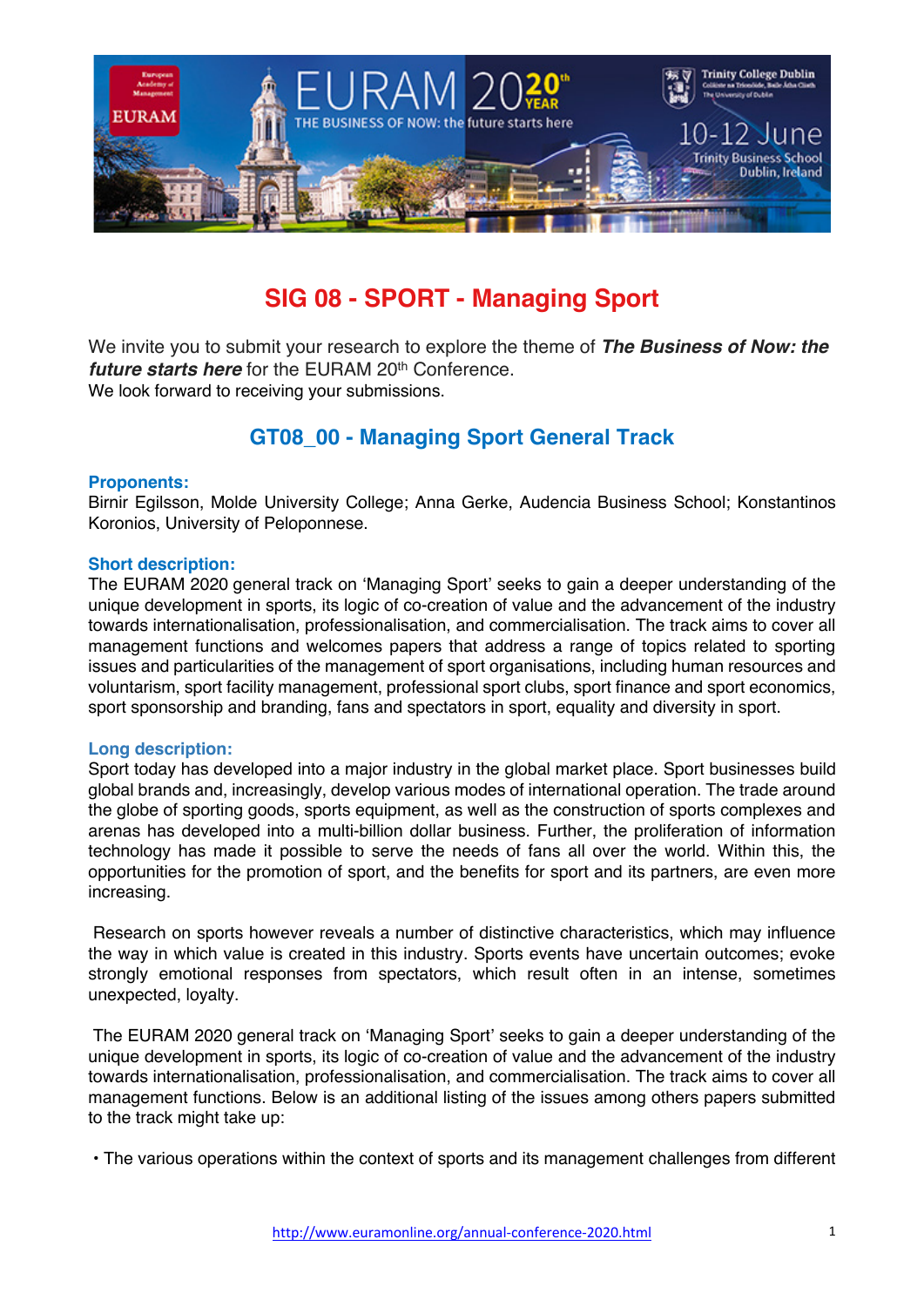

# **SIG 08 - SPORT - Managing Sport**

We invite you to submit your research to explore the theme of *The Business of Now: the future starts here* for the EURAM 20<sup>th</sup> Conference. We look forward to receiving your submissions.

# **GT08\_00 - Managing Sport General Track**

## **Proponents:**

Birnir Egilsson, Molde University College; Anna Gerke, Audencia Business School; Konstantinos Koronios, University of Peloponnese.

## **Short description:**

The EURAM 2020 general track on 'Managing Sport' seeks to gain a deeper understanding of the unique development in sports, its logic of co-creation of value and the advancement of the industry towards internationalisation, professionalisation, and commercialisation. The track aims to cover all management functions and welcomes papers that address a range of topics related to sporting issues and particularities of the management of sport organisations, including human resources and voluntarism, sport facility management, professional sport clubs, sport finance and sport economics, sport sponsorship and branding, fans and spectators in sport, equality and diversity in sport.

#### **Long description:**

Sport today has developed into a major industry in the global market place. Sport businesses build global brands and, increasingly, develop various modes of international operation. The trade around the globe of sporting goods, sports equipment, as well as the construction of sports complexes and arenas has developed into a multi-billion dollar business. Further, the proliferation of information technology has made it possible to serve the needs of fans all over the world. Within this, the opportunities for the promotion of sport, and the benefits for sport and its partners, are even more increasing.

Research on sports however reveals a number of distinctive characteristics, which may influence the way in which value is created in this industry. Sports events have uncertain outcomes; evoke strongly emotional responses from spectators, which result often in an intense, sometimes unexpected, loyalty.

The EURAM 2020 general track on 'Managing Sport' seeks to gain a deeper understanding of the unique development in sports, its logic of co-creation of value and the advancement of the industry towards internationalisation, professionalisation, and commercialisation. The track aims to cover all management functions. Below is an additional listing of the issues among others papers submitted to the track might take up:

• The various operations within the context of sports and its management challenges from different